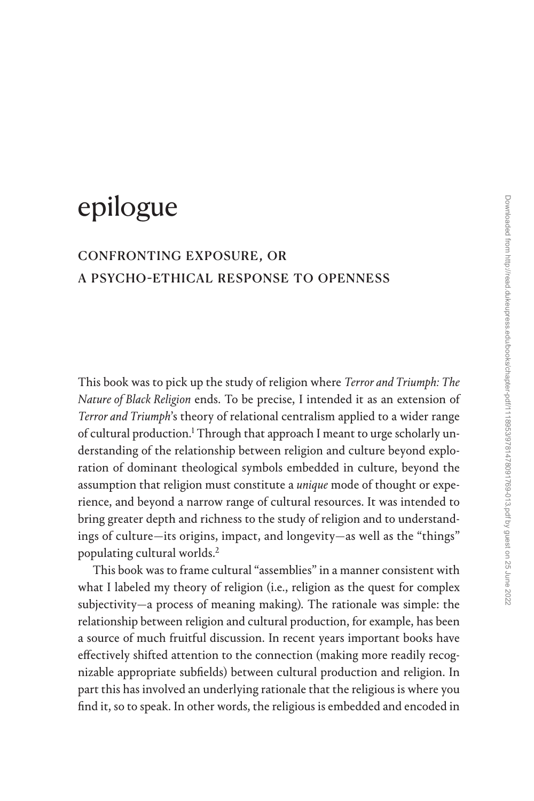# epilogue

# confronting exposure, or [a psycho-ethical response to openness](#page--1-0)

This book was to pick up the study of religion where *Terror and Triumph: The Nature of Black Religion* ends. To be precise, I intended it as an extension of *Terror and Triumph*'s theory of relational centralism applied to a wider range of cultural production.<sup>1</sup> Through that approach I meant to urge scholarly understanding of the relationship between religion and culture beyond exploration of dominant theological symbols embedded in culture, beyond the assumption that religion must constitute a *unique* mode of thought or experience, and beyond a narrow range of cultural resources. It was intended to bring greater depth and richness to the study of religion and to understandings of culture—its origins, impact, and longevity—as well as the "things" populating cultural worlds[.2](#page--1-0)

This book was to frame cultural "assemblies" in a manner consistent with what I labeled my theory of religion (i.e., religion as the quest for complex subjectivity—a process of meaning making). The rationale was simple: the relationship between religion and cultural production, for example, has been a source of much fruitful discussion. In recent years important books have effectively shifted attention to the connection (making more readily recognizable appropriate subfields) between cultural production and religion. In part this has involved an underlying rationale that the religious is where you find it, so to speak. In other words, the religious is embedded and encoded in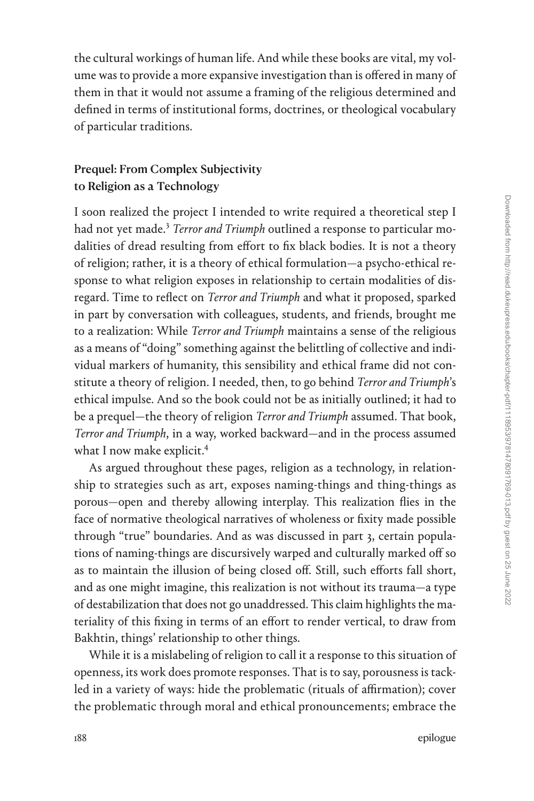the cultural workings of human life. And while these books are vital, my volume was to provide a more expansive investigation than is offered in many of them in that it would not assume a framing of the religious determined and defined in terms of institutional forms, doctrines, or theological vocabulary of particular traditions.

## Prequel: From Complex Subjectivity to Religion as a Technology

I soon realized the project I intended to write required a theoretical step I had not yet made.<sup>3</sup> *Terror and Triumph* outlined a response to particular modalities of dread resulting from effort to fix black bodies. It is not a theory of religion; rather, it is a theory of ethical formulation—a psycho-ethical response to what religion exposes in relationship to certain modalities of disregard. Time to reflect on *Terror and Triumph* and what it proposed, sparked in part by conversation with colleagues, students, and friends, brought me to a realization: While *Terror and Triumph* maintains a sense of the religious as a means of "doing" something against the belittling of collective and individual markers of humanity, this sensibility and ethical frame did not constitute a theory of religion. I needed, then, to go behind *Terror and Triumph*'s ethical impulse. And so the book could not be as initially outlined; it had to be a prequel—the theory of religion *Terror and Triumph* assumed. That book, *Terror and Triumph*, in a way, worked backward—and in the process assumed what I now make explicit.<sup>4</sup>

As argued throughout these pages, religion as a technology, in relationship to strategies such as art, exposes naming-things and thing-things as porous—open and thereby allowing interplay. This realization flies in the face of normative theological narratives of wholeness or fixity made possible through "true" boundaries. And as was discussed in part 3, certain populations of naming-things are discursively warped and culturally marked off so as to maintain the illusion of being closed off. Still, such efforts fall short, and as one might imagine, this realization is not without its trauma—a type of destabilization that does not go unaddressed. This claim highlights the materiality of this fixing in terms of an effort to render vertical, to draw from Bakhtin, things' relationship to other things.

While it is a mislabeling of religion to call it a response to this situation of openness, its work does promote responses. That is to say, porousness is tackled in a variety of ways: hide the problematic (rituals of affirmation); cover the problematic through moral and ethical pronouncements; embrace the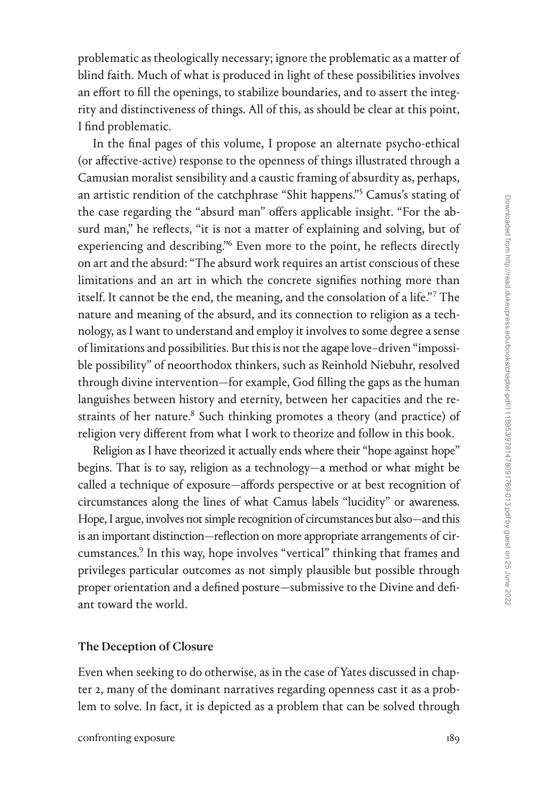problematic as theologically necessary; ignore the problematic as a matter of blind faith. Much of what is produced in light of these possibilities involves an effort to fill the openings, to stabilize boundaries, and to assert the integrity and distinctiveness of things. All of this, as should be clear at this point, I find problematic.

In the final pages of this volume, I propose an alternate psycho-ethical (or affective-active) response to the openness of things illustrated through a Camusian moralist sensibility and a caustic framing of absurdity as, perhaps, an artistic rendition of the catchphrase "Shit happens."[5](#page--1-0) Camus's stating of the case regarding the "absurd man" offers applicable insight. "For the absurd man," he reflects, "it is not a matter of explaining and solving, but of experiencing and describing.["6](#page--1-0) Even more to the point, he reflects directly on art and the absurd: "The absurd work requires an artist conscious of these limitations and an art in which the concrete signifies nothing more than itself. It cannot be the end, the meaning, and the consolation of a life."[7](#page--1-0) The nature and meaning of the absurd, and its connection to religion as a technology, as I want to understand and employ it involves to some degree a sense of limitations and possibilities. But this is not the agape love–driven "impossible possibility" of neoorthodox thinkers, such as Reinhold Niebuhr, resolved through divine intervention—for example, God filling the gaps as the human languishes between history and eternity, between her capacities and the restraints of her nature.<sup>8</sup> Such thinking promotes a theory (and practice) of religion very different from what I work to theorize and follow in this book.

Religion as I have theorized it actually ends where their "hope against hope" begins. That is to say, religion as a technology—a method or what might be called a technique of exposure—affords perspective or at best recognition of circumstances along the lines of what Camus labels "lucidity" or awareness. Hope, I argue, involves not simple recognition of circumstances but also—and this is an important distinction—reflection on more appropriate arrangements of circumstances[.9](#page--1-0) In this way, hope involves "vertical" thinking that frames and privileges particular outcomes as not simply plausible but possible through proper orientation and a defined posture—submissive to the Divine and defiant toward the world.

#### The Deception of Closure

Even when seeking to do otherwise, as in the case of Yates discussed in chapter 2, many of the dominant narratives regarding openness cast it as a problem to solve. In fact, it is depicted as a problem that can be solved through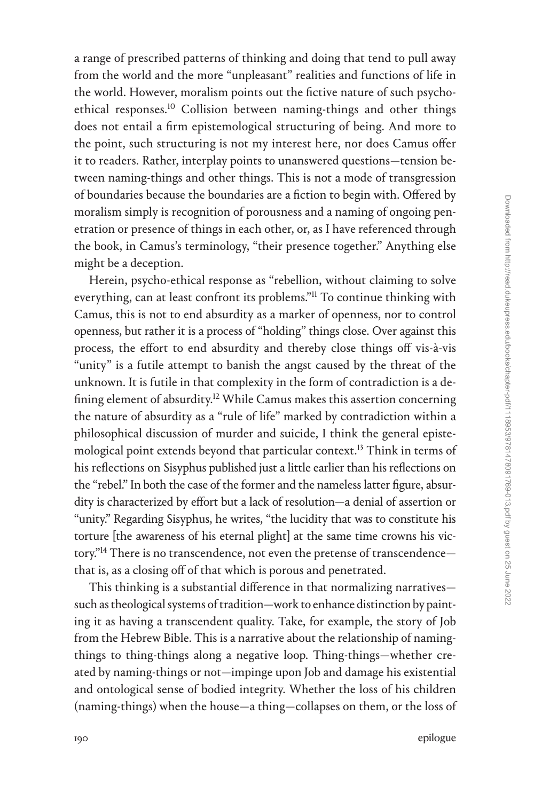a range of prescribed patterns of thinking and doing that tend to pull away from the world and the more "unpleasant" realities and functions of life in the world. However, moralism points out the fictive nature of such psychoethical responses[.10](#page--1-0) Collision between naming-things and other things does not entail a firm epistemological structuring of being. And more to the point, such structuring is not my interest here, nor does Camus offer it to readers. Rather, interplay points to unanswered questions—tension between naming-things and other things. This is not a mode of transgression of boundaries because the boundaries are a fiction to begin with. Offered by moralism simply is recognition of porousness and a naming of ongoing penetration or presence of things in each other, or, as I have referenced through the book, in Camus's terminology, "their presence together." Anything else might be a deception.

Herein, psycho-ethical response as "rebellion, without claiming to solve everything, can at least confront its problems."[11](#page--1-0) To continue thinking with Camus, this is not to end absurdity as a marker of openness, nor to control openness, but rather it is a process of "holding" things close. Over against this process, the effort to end absurdity and thereby close things off vis-à-vis "unity" is a futile attempt to banish the angst caused by the threat of the unknown. It is futile in that complexity in the form of contradiction is a defining element of absurdity.<sup>12</sup> While Camus makes this assertion concerning the nature of absurdity as a "rule of life" marked by contradiction within a philosophical discussion of murder and suicide, I think the general episte-mological point extends beyond that particular context.<sup>[13](#page--1-0)</sup> Think in terms of his reflections on Sisyphus published just a little earlier than his reflections on the "rebel." In both the case of the former and the nameless latter figure, absurdity is characterized by effort but a lack of resolution—a denial of assertion or "unity." Regarding Sisyphus, he writes, "the lucidity that was to constitute his torture [the awareness of his eternal plight] at the same time crowns his victory."<sup>14</sup> There is no transcendence, not even the pretense of transcendencethat is, as a closing off of that which is porous and penetrated.

This thinking is a substantial difference in that normalizing narratives such as theological systems of tradition—work to enhance distinction by painting it as having a transcendent quality. Take, for example, the story of Job from the Hebrew Bible. This is a narrative about the relationship of namingthings to thing-things along a negative loop. Thing-things—whether created by naming-things or not—impinge upon Job and damage his existential and ontological sense of bodied integrity. Whether the loss of his children (naming-things) when the house—a thing—collapses on them, or the loss of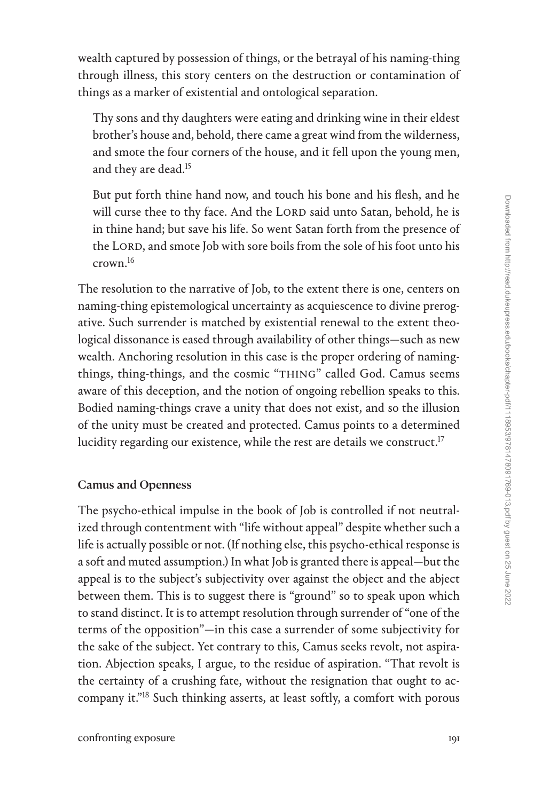wealth captured by possession of things, or the betrayal of his naming-thing through illness, this story centers on the destruction or contamination of things as a marker of existential and ontological separation.

Thy sons and thy daughters were eating and drinking wine in their eldest brother's house and, behold, there came a great wind from the wilderness, and smote the four corners of the house, and it fell upon the young men, and they are dead.[15](#page--1-0)

But put forth thine hand now, and touch his bone and his flesh, and he will curse thee to thy face. And the LORD said unto Satan, behold, he is in thine hand; but save his life. So went Satan forth from the presence of the LORD, and smote Job with sore boils from the sole of his foot unto his crown[.16](#page--1-0)

The resolution to the narrative of Job, to the extent there is one, centers on naming-thing epistemological uncertainty as acquiescence to divine prerogative. Such surrender is matched by existential renewal to the extent theological dissonance is eased through availability of other things—such as new wealth. Anchoring resolution in this case is the proper ordering of namingthings, thing-things, and the cosmic "THING" called God. Camus seems aware of this deception, and the notion of ongoing rebellion speaks to this. Bodied naming-things crave a unity that does not exist, and so the illusion of the unity must be created and protected. Camus points to a determined lucidity regarding our existence, while the rest are details we construct.<sup>17</sup>

### Camus and Openness

The psycho-ethical impulse in the book of Job is controlled if not neutralized through contentment with "life without appeal" despite whether such a life is actually possible or not. (If nothing else, this psycho-ethical response is a soft and muted assumption.) In what Job is granted there is appeal—but the appeal is to the subject's subjectivity over against the object and the abject between them. This is to suggest there is "ground" so to speak upon which to stand distinct. It is to attempt resolution through surrender of "one of the terms of the opposition"—in this case a surrender of some subjectivity for the sake of the subject. Yet contrary to this, Camus seeks revolt, not aspiration. Abjection speaks, I argue, to the residue of aspiration. "That revolt is the certainty of a crushing fate, without the resignation that ought to accompany it.["18](#page--1-0) Such thinking asserts, at least softly, a comfort with porous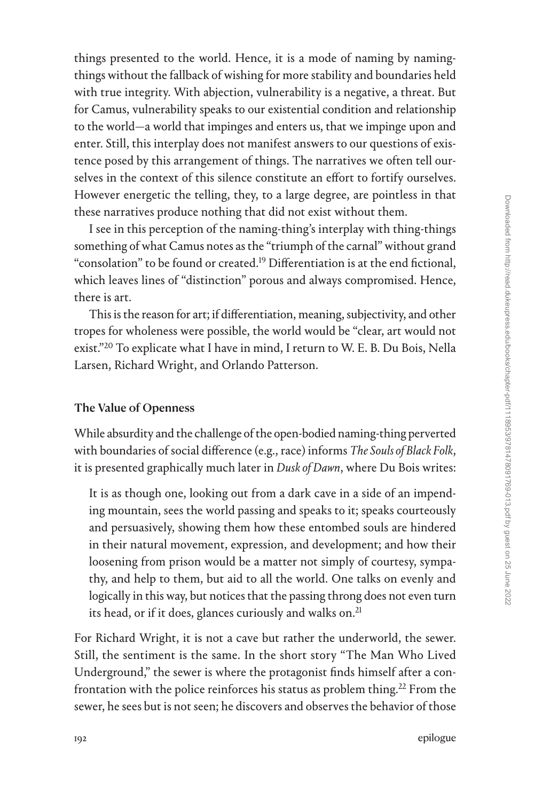things presented to the world. Hence, it is a mode of naming by namingthings without the fallback of wishing for more stability and boundaries held with true integrity. With abjection, vulnerability is a negative, a threat. But for Camus, vulnerability speaks to our existential condition and relationship to the world—a world that impinges and enters us, that we impinge upon and enter. Still, this interplay does not manifest answers to our questions of existence posed by this arrangement of things. The narratives we often tell ourselves in the context of this silence constitute an effort to fortify ourselves. However energetic the telling, they, to a large degree, are pointless in that these narratives produce nothing that did not exist without them.

I see in this perception of the naming-thing's interplay with thing-things something of what Camus notes as the "triumph of the carnal" without grand "consolation" to be found or created.<sup>19</sup> Differentiation is at the end fictional, which leaves lines of "distinction" porous and always compromised. Hence, there is art.

This is the reason for art; if differentiation, meaning, subjectivity, and other tropes for wholeness were possible, the world would be "clear, art would not exist.["20](#page--1-0) To explicate what I have in mind, I return to W. E. B. Du Bois, Nella Larsen, Richard Wright, and Orlando Patterson.

#### The Value of Openness

While absurdity and the challenge of the open-bodied naming-thing perverted with boundaries of social difference (e.g., race) informs *The Souls of Black Folk*, it is presented graphically much later in *Dusk of Dawn*, where Du Bois writes:

It is as though one, looking out from a dark cave in a side of an impending mountain, sees the world passing and speaks to it; speaks courteously and persuasively, showing them how these entombed souls are hindered in their natural movement, expression, and development; and how their loosening from prison would be a matter not simply of courtesy, sympathy, and help to them, but aid to all the world. One talks on evenly and logically in this way, but notices that the passing throng does not even turn its head, or if it does, glances curiously and walks on.<sup>21</sup>

For Richard Wright, it is not a cave but rather the underworld, the sewer. Still, the sentiment is the same. In the short story "The Man Who Lived Underground," the sewer is where the protagonist finds himself after a confrontation with the police reinforces his status as problem thing.<sup>22</sup> From the sewer, he sees but is not seen; he discovers and observes the behavior of those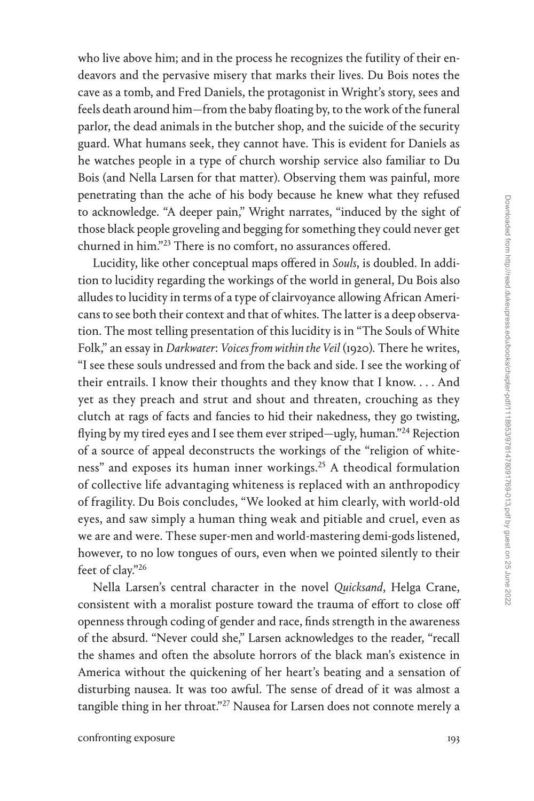who live above him; and in the process he recognizes the futility of their endeavors and the pervasive misery that marks their lives. Du Bois notes the cave as a tomb, and Fred Daniels, the protagonist in Wright's story, sees and feels death around him—from the baby floating by, to the work of the funeral parlor, the dead animals in the butcher shop, and the suicide of the security guard. What humans seek, they cannot have. This is evident for Daniels as he watches people in a type of church worship service also familiar to Du Bois (and Nella Larsen for that matter). Observing them was painful, more penetrating than the ache of his body because he knew what they refused to acknowledge. "A deeper pain," Wright narrates, "induced by the sight of those black people groveling and begging for something they could never get churned in him.["23](#page--1-0) There is no comfort, no assurances offered.

Lucidity, like other conceptual maps offered in *Souls*, is doubled. In addition to lucidity regarding the workings of the world in general, Du Bois also alludes to lucidity in terms of a type of clairvoyance allowing African Americans to see both their context and that of whites. The latter is a deep observation. The most telling presentation of this lucidity is in "The Souls of White Folk," an essay in *Darkwater*: *Voices from within the Veil* (1920). There he writes, "I see these souls undressed and from the back and side. I see the working of their entrails. I know their thoughts and they know that I know. . . . And yet as they preach and strut and shout and threaten, crouching as they clutch at rags of facts and fancies to hid their nakedness, they go twisting, flying by my tired eyes and I see them ever striped—ugly, human."[24](#page--1-0) Rejection of a source of appeal deconstructs the workings of the "religion of whiteness" and exposes its human inner workings[.25](#page--1-0) A theodical formulation of collective life advantaging whiteness is replaced with an anthropodicy of fragility. Du Bois concludes, "We looked at him clearly, with world-old eyes, and saw simply a human thing weak and pitiable and cruel, even as we are and were. These super-men and world-mastering demi-gods listened, however, to no low tongues of ours, even when we pointed silently to their feet of clay."[26](#page--1-0)

Nella Larsen's central character in the novel *Quicksand*, Helga Crane, consistent with a moralist posture toward the trauma of effort to close off openness through coding of gender and race, finds strength in the awareness of the absurd. "Never could she," Larsen acknowledges to the reader, "recall the shames and often the absolute horrors of the black man's existence in America without the quickening of her heart's beating and a sensation of disturbing nausea. It was too awful. The sense of dread of it was almost a tangible thing in her throat."<sup>[27](#page--1-0)</sup> Nausea for Larsen does not connote merely a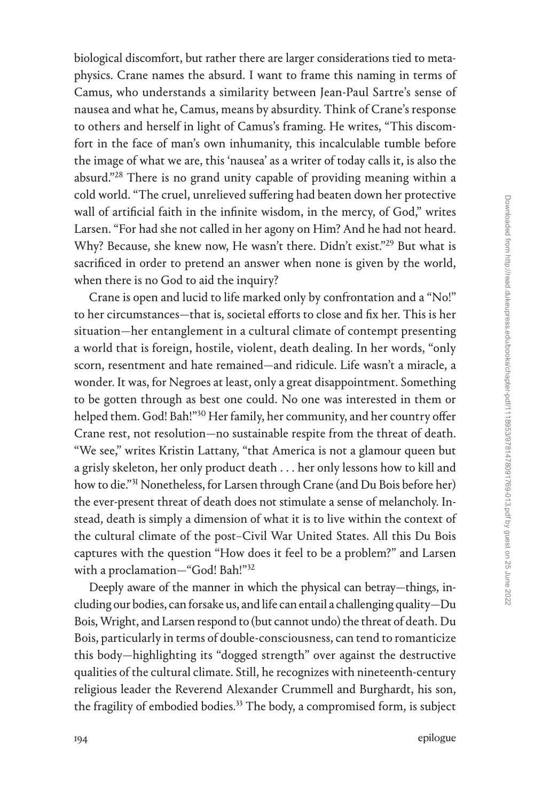biological discomfort, but rather there are larger considerations tied to metaphysics. Crane names the absurd. I want to frame this naming in terms of Camus, who understands a similarity between Jean-Paul Sartre's sense of nausea and what he, Camus, means by absurdity. Think of Crane's response to others and herself in light of Camus's framing. He writes, "This discomfort in the face of man's own inhumanity, this incalculable tumble before the image of what we are, this 'nausea' as a writer of today calls it, is also the absurd."[28](#page--1-0) There is no grand unity capable of providing meaning within a cold world. "The cruel, unrelieved suffering had beaten down her protective wall of artificial faith in the infinite wisdom, in the mercy, of God," writes Larsen. "For had she not called in her agony on Him? And he had not heard. Why? Because, she knew now, He wasn't there. Didn't exist."<sup>29</sup> But what is sacrificed in order to pretend an answer when none is given by the world, when there is no God to aid the inquiry?

Crane is open and lucid to life marked only by confrontation and a "No!" to her circumstances—that is, societal efforts to close and fix her. This is her situation—her entanglement in a cultural climate of contempt presenting a world that is foreign, hostile, violent, death dealing. In her words, "only scorn, resentment and hate remained—and ridicule. Life wasn't a miracle, a wonder. It was, for Negroes at least, only a great disappointment. Something to be gotten through as best one could. No one was interested in them or helped them. God! Bah!"[30](#page--1-0) Her family, her community, and her country offer Crane rest, not resolution—no sustainable respite from the threat of death. "We see," writes Kristin Lattany, "that America is not a glamour queen but a grisly skeleton, her only product death . . . her only lessons how to kill and how to die."<sup>31</sup> Nonetheless, for Larsen through Crane (and Du Bois before her) the ever-present threat of death does not stimulate a sense of melancholy. Instead, death is simply a dimension of what it is to live within the context of the cultural climate of the post–Civil War United States. All this Du Bois captures with the question "How does it feel to be a problem?" and Larsen with a proclamation—"God! Bah!"[32](#page--1-0)

Deeply aware of the manner in which the physical can betray—things, including our bodies, can forsake us, and life can entail a challenging quality—Du Bois, Wright, and Larsen respond to (but cannot undo) the threat of death. Du Bois, particularly in terms of double-consciousness, can tend to romanticize this body—highlighting its "dogged strength" over against the destructive qualities of the cultural climate. Still, he recognizes with nineteenth-century religious leader the Reverend Alexander Crummell and Burghardt, his son, the fragility of embodied bodies.<sup>[33](#page--1-0)</sup> The body, a compromised form, is subject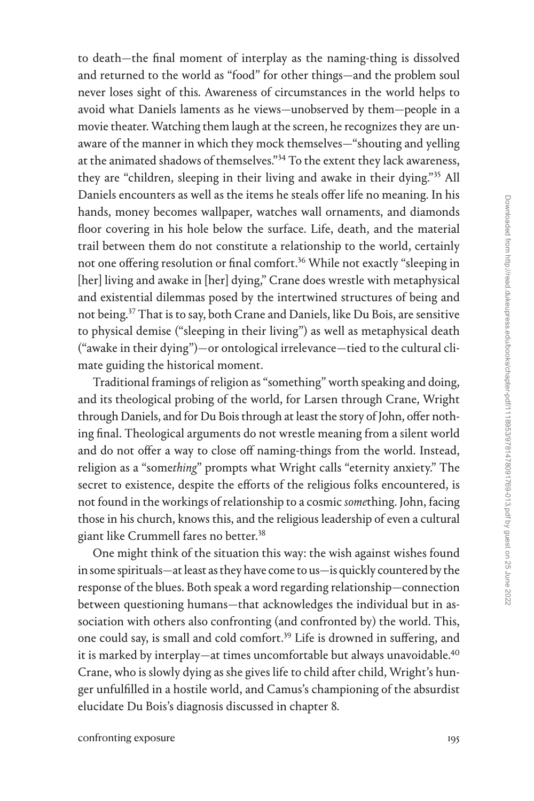to death—the final moment of interplay as the naming-thing is dissolved and returned to the world as "food" for other things—and the problem soul never loses sight of this. Awareness of circumstances in the world helps to avoid what Daniels laments as he views—unobserved by them—people in a movie theater. Watching them laugh at the screen, he recognizes they are unaware of the manner in which they mock themselves—"shouting and yelling at the animated shadows of themselves."[34](#page--1-0) To the extent they lack awareness, they are "children, sleeping in their living and awake in their dying."[35](#page--1-0) All Daniels encounters as well as the items he steals offer life no meaning. In his hands, money becomes wallpaper, watches wall ornaments, and diamonds floor covering in his hole below the surface. Life, death, and the material trail between them do not constitute a relationship to the world, certainly not one offering resolution or final comfort.<sup>[36](#page--1-0)</sup> While not exactly "sleeping in [her] living and awake in [her] dying," Crane does wrestle with metaphysical and existential dilemmas posed by the intertwined structures of being and not being.[37](#page--1-0) That is to say, both Crane and Daniels, like Du Bois, are sensitive to physical demise ("sleeping in their living") as well as metaphysical death ("awake in their dying")—or ontological irrelevance—tied to the cultural climate guiding the historical moment.

Traditional framings of religion as "something" worth speaking and doing, and its theological probing of the world, for Larsen through Crane, Wright through Daniels, and for Du Bois through at least the story of John, offer nothing final. Theological arguments do not wrestle meaning from a silent world and do not offer a way to close off naming-things from the world. Instead, religion as a "some*thing*" prompts what Wright calls "eternity anxiety." The secret to existence, despite the efforts of the religious folks encountered, is not found in the workings of relationship to a cosmic *some*thing. John, facing those in his church, knows this, and the religious leadership of even a cultural giant like Crummell fares no better.<sup>[38](#page--1-0)</sup>

One might think of the situation this way: the wish against wishes found in some spirituals—at least as they have come to us—is quickly countered by the response of the blues. Both speak a word regarding relationship—connection between questioning humans—that acknowledges the individual but in association with others also confronting (and confronted by) the world. This, one could say, is small and cold comfort[.39](#page--1-0) Life is drowned in suffering, and it is marked by interplay—at times uncomfortable but always unavoidable.<sup>40</sup> Crane, who is slowly dying as she gives life to child after child, Wright's hunger unfulfilled in a hostile world, and Camus's championing of the absurdist elucidate Du Bois's diagnosis discussed in chapter 8.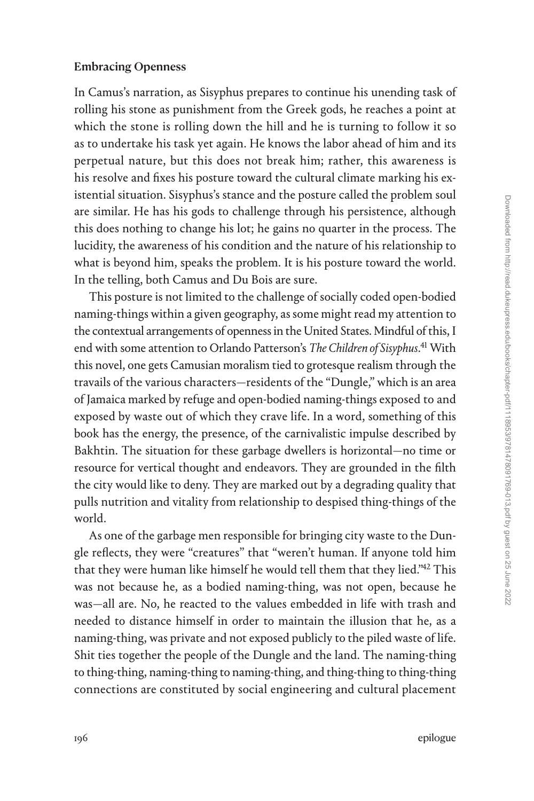#### Embracing Openness

In Camus's narration, as Sisyphus prepares to continue his unending task of rolling his stone as punishment from the Greek gods, he reaches a point at which the stone is rolling down the hill and he is turning to follow it so as to undertake his task yet again. He knows the labor ahead of him and its perpetual nature, but this does not break him; rather, this awareness is his resolve and fixes his posture toward the cultural climate marking his existential situation. Sisyphus's stance and the posture called the problem soul are similar. He has his gods to challenge through his persistence, although this does nothing to change his lot; he gains no quarter in the process. The lucidity, the awareness of his condition and the nature of his relationship to what is beyond him, speaks the problem. It is his posture toward the world. In the telling, both Camus and Du Bois are sure.

This posture is not limited to the challenge of socially coded open-bodied naming-things within a given geography, as some might read my attention to the contextual arrangements of openness in the United States. Mindful of this, I end with some attention to Orlando Patterson's *The Children of Sisyphus*. [41](#page--1-0) With this novel, one gets Camusian moralism tied to grotesque realism through the travails of the various characters—residents of the "Dungle," which is an area of Jamaica marked by refuge and open-bodied naming-things exposed to and exposed by waste out of which they crave life. In a word, something of this book has the energy, the presence, of the carnivalistic impulse described by Bakhtin. The situation for these garbage dwellers is horizontal—no time or resource for vertical thought and endeavors. They are grounded in the filth the city would like to deny. They are marked out by a degrading quality that pulls nutrition and vitality from relationship to despised thing-things of the world.

As one of the garbage men responsible for bringing city waste to the Dungle reflects, they were "creatures" that "weren't human. If anyone told him that they were human like himself he would tell them that they lied.["42](#page--1-0) This was not because he, as a bodied naming-thing, was not open, because he was—all are. No, he reacted to the values embedded in life with trash and needed to distance himself in order to maintain the illusion that he, as a naming-thing, was private and not exposed publicly to the piled waste of life. Shit ties together the people of the Dungle and the land. The naming-thing to thing-thing, naming-thing to naming-thing, and thing-thing to thing-thing connections are constituted by social engineering and cultural placement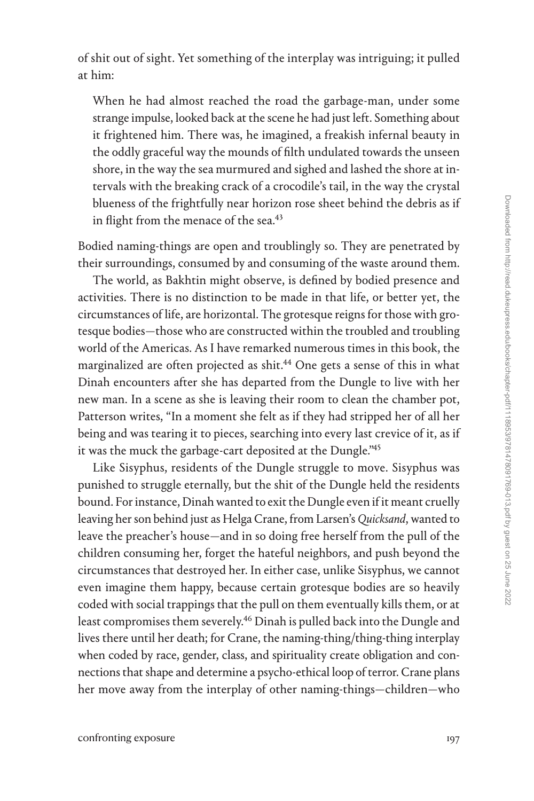of shit out of sight. Yet something of the interplay was intriguing; it pulled at him:

When he had almost reached the road the garbage-man, under some strange impulse, looked back at the scene he had just left. Something about it frightened him. There was, he imagined, a freakish infernal beauty in the oddly graceful way the mounds of filth undulated towards the unseen shore, in the way the sea murmured and sighed and lashed the shore at intervals with the breaking crack of a crocodile's tail, in the way the crystal blueness of the frightfully near horizon rose sheet behind the debris as if in flight from the menace of the sea.<sup>43</sup>

Bodied naming-things are open and troublingly so. They are penetrated by their surroundings, consumed by and consuming of the waste around them.

The world, as Bakhtin might observe, is defined by bodied presence and activities. There is no distinction to be made in that life, or better yet, the circumstances of life, are horizontal. The grotesque reigns for those with grotesque bodies—those who are constructed within the troubled and troubling world of the Americas. As I have remarked numerous times in this book, the marginalized are often projected as shit.<sup>44</sup> One gets a sense of this in what Dinah encounters after she has departed from the Dungle to live with her new man. In a scene as she is leaving their room to clean the chamber pot, Patterson writes, "In a moment she felt as if they had stripped her of all her being and was tearing it to pieces, searching into every last crevice of it, as if it was the muck the garbage-cart deposited at the Dungle.["45](#page--1-0)

Like Sisyphus, residents of the Dungle struggle to move. Sisyphus was punished to struggle eternally, but the shit of the Dungle held the residents bound. For instance, Dinah wanted to exit the Dungle even if it meant cruelly leaving her son behind just as Helga Crane, from Larsen's *Quicksand*, wanted to leave the preacher's house—and in so doing free herself from the pull of the children consuming her, forget the hateful neighbors, and push beyond the circumstances that destroyed her. In either case, unlike Sisyphus, we cannot even imagine them happy, because certain grotesque bodies are so heavily coded with social trappings that the pull on them eventually kills them, or at least compromises them severely.<sup>46</sup> Dinah is pulled back into the Dungle and lives there until her death; for Crane, the naming-thing/thing-thing interplay when coded by race, gender, class, and spirituality create obligation and connections that shape and determine a psycho-ethical loop of terror. Crane plans her move away from the interplay of other naming-things—children—who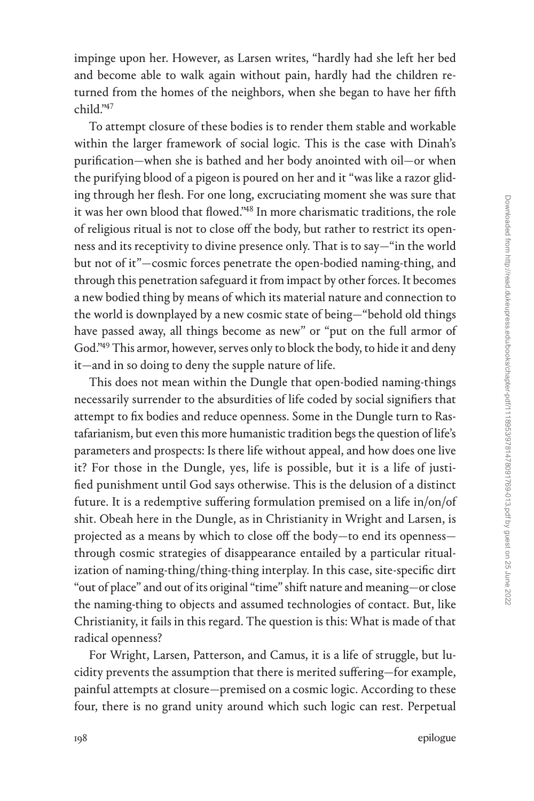impinge upon her. However, as Larsen writes, "hardly had she left her bed and become able to walk again without pain, hardly had the children returned from the homes of the neighbors, when she began to have her fifth  $child$ <sup>247</sup>

To attempt closure of these bodies is to render them stable and workable within the larger framework of social logic. This is the case with Dinah's purification—when she is bathed and her body anointed with oil—or when the purifying blood of a pigeon is poured on her and it "was like a razor gliding through her flesh. For one long, excruciating moment she was sure that it was her own blood that flowed.["48](#page--1-0) In more charismatic traditions, the role of religious ritual is not to close off the body, but rather to restrict its openness and its receptivity to divine presence only. That is to say—"in the world but not of it"—cosmic forces penetrate the open-bodied naming-thing, and through this penetration safeguard it from impact by other forces. It becomes a new bodied thing by means of which its material nature and connection to the world is downplayed by a new cosmic state of being—"behold old things have passed away, all things become as new" or "put on the full armor of God.["49](#page--1-0) This armor, however, serves only to block the body, to hide it and deny it—and in so doing to deny the supple nature of life.

This does not mean within the Dungle that open-bodied naming-things necessarily surrender to the absurdities of life coded by social signifiers that attempt to fix bodies and reduce openness. Some in the Dungle turn to Rastafarianism, but even this more humanistic tradition begs the question of life's parameters and prospects: Is there life without appeal, and how does one live it? For those in the Dungle, yes, life is possible, but it is a life of justified punishment until God says otherwise. This is the delusion of a distinct future. It is a redemptive suffering formulation premised on a life in/on/of shit. Obeah here in the Dungle, as in Christianity in Wright and Larsen, is projected as a means by which to close off the body—to end its openness through cosmic strategies of disappearance entailed by a particular ritualization of naming-thing/thing-thing interplay. In this case, site-specific dirt "out of place" and out of its original "time" shift nature and meaning—or close the naming-thing to objects and assumed technologies of contact. But, like Christianity, it fails in this regard. The question is this: What is made of that radical openness?

For Wright, Larsen, Patterson, and Camus, it is a life of struggle, but lucidity prevents the assumption that there is merited suffering—for example, painful attempts at closure—premised on a cosmic logic. According to these four, there is no grand unity around which such logic can rest. Perpetual